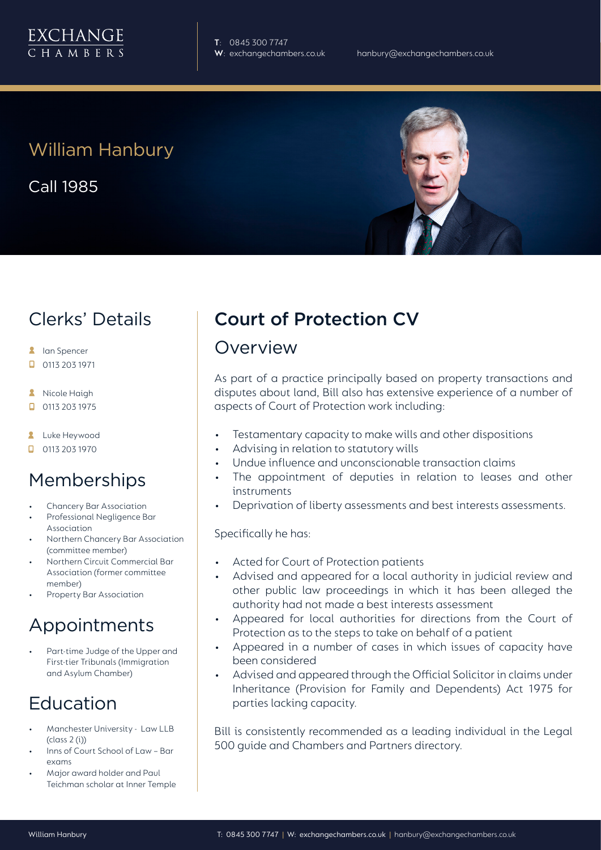

**T**: 0845 300 7747

# William Hanbury

Call 1985

# Clerks' Details

- **A** Ian Spencer
- 0113 203 1971  $\Box$
- **A** Nicole Haigh
- $\Box$ 0113 203 1975
- **2** Luke Heywood
- $\Box$  0113 203 1970

### **Memberships**

- Chancery Bar Association
- Professional Negligence Bar Association
- Northern Chancery Bar Association (committee member)
- Northern Circuit Commercial Bar Association (former committee member)
- Property Bar Association

# Appointments

Part-time Judge of the Upper and First-tier Tribunals (Immigration and Asylum Chamber)

# Education

- Manchester University Law LLB (class 2 (i))
- Inns of Court School of Law Bar exams
- Major award holder and Paul Teichman scholar at Inner Temple

# Court of Protection CV

### Overview

As part of a practice principally based on property transactions and disputes about land, Bill also has extensive experience of a number of aspects of Court of Protection work including:

- Testamentary capacity to make wills and other dispositions
- Advising in relation to statutory wills
- Undue influence and unconscionable transaction claims
- The appointment of deputies in relation to leases and other instruments
- Deprivation of liberty assessments and best interests assessments.

#### Specifically he has:

- Acted for Court of Protection patients
- Advised and appeared for a local authority in judicial review and other public law proceedings in which it has been alleged the authority had not made a best interests assessment
- Appeared for local authorities for directions from the Court of Protection as to the steps to take on behalf of a patient
- Appeared in a number of cases in which issues of capacity have been considered
- Advised and appeared through the Official Solicitor in claims under Inheritance (Provision for Family and Dependents) Act 1975 for parties lacking capacity.

Bill is consistently recommended as a leading individual in the Legal 500 guide and Chambers and Partners directory.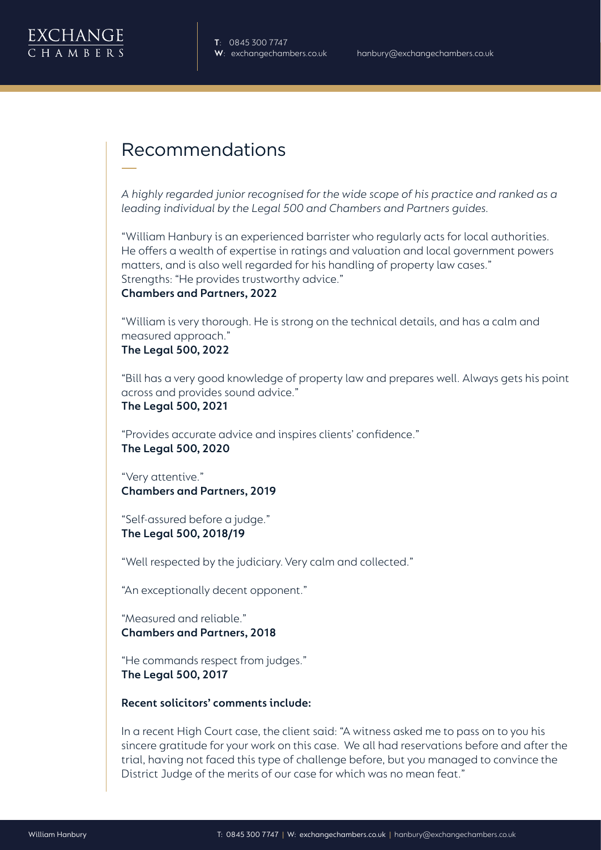

# Recommendations

*A highly regarded junior recognised for the wide scope of his practice and ranked as a leading individual by the Legal 500 and Chambers and Partners guides.* 

"William Hanbury is an experienced barrister who regularly acts for local authorities. He offers a wealth of expertise in ratings and valuation and local government powers matters, and is also well regarded for his handling of property law cases." Strengths: "He provides trustworthy advice."

### **Chambers and Partners, 2022**

"William is very thorough. He is strong on the technical details, and has a calm and measured approach."

**The Legal 500, 2022**

"Bill has a very good knowledge of property law and prepares well. Always gets his point across and provides sound advice."

**The Legal 500, 2021**

"Provides accurate advice and inspires clients' confidence." **The Legal 500, 2020**

"Very attentive." **Chambers and Partners, 2019**

"Self-assured before a judge." **The Legal 500, 2018/19**

"Well respected by the judiciary. Very calm and collected."

"An exceptionally decent opponent."

"Measured and reliable." **Chambers and Partners, 2018**

"He commands respect from judges." **The Legal 500, 2017**

**Recent solicitors' comments include:**

In a recent High Court case, the client said: "A witness asked me to pass on to you his sincere gratitude for your work on this case. We all had reservations before and after the trial, having not faced this type of challenge before, but you managed to convince the District Judge of the merits of our case for which was no mean feat."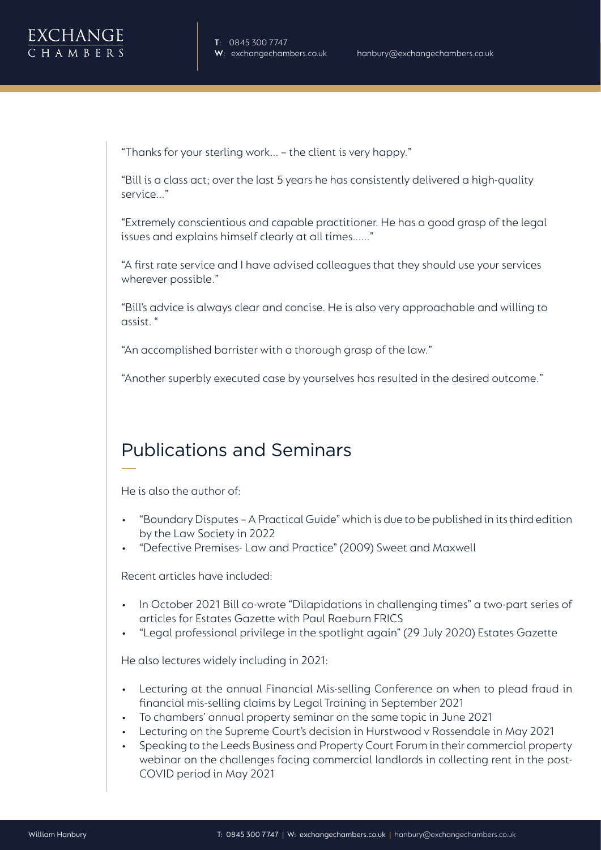"Thanks for your sterling work... – the client is very happy."

"Bill is a class act; over the last 5 years he has consistently delivered a high-quality service..."

"Extremely conscientious and capable practitioner. He has a good grasp of the legal issues and explains himself clearly at all times......"

"A first rate service and I have advised colleagues that they should use your services wherever possible."

"Bill's advice is always clear and concise. He is also very approachable and willing to assist. "

"An accomplished barrister with a thorough grasp of the law."

"Another superbly executed case by yourselves has resulted in the desired outcome."

# Publications and Seminars

He is also the author of:

- "Boundary Disputes A Practical Guide" which is due to be published in its third edition by the Law Society in 2022
- "Defective Premises- Law and Practice" (2009) Sweet and Maxwell

Recent articles have included:

- In October 2021 Bill co-wrote "Dilapidations in challenging times" a two-part series of articles for Estates Gazette with Paul Raeburn FRICS
- "Legal professional privilege in the spotlight again" (29 July 2020) Estates Gazette

He also lectures widely including in 2021:

- Lecturing at the annual Financial Mis-selling Conference on when to plead fraud in financial mis-selling claims by Legal Training in September 2021
- To chambers' annual property seminar on the same topic in June 2021
- Lecturing on the Supreme Court's decision in Hurstwood v Rossendale in May 2021
- Speaking to the Leeds Business and Property Court Forum in their commercial property webinar on the challenges facing commercial landlords in collecting rent in the post-COVID period in May 2021